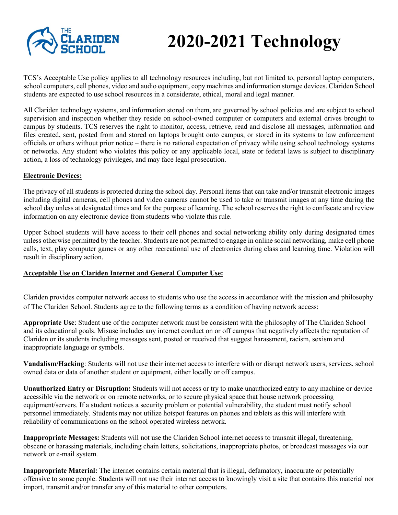

## **2020-2021 Technology**

TCS's Acceptable Use policy applies to all technology resources including, but not limited to, personal laptop computers, school computers, cell phones, video and audio equipment, copy machines and information storage devices. Clariden School students are expected to use school resources in a considerate, ethical, moral and legal manner.

All Clariden technology systems, and information stored on them, are governed by school policies and are subject to school supervision and inspection whether they reside on school-owned computer or computers and external drives brought to campus by students. TCS reserves the right to monitor, access, retrieve, read and disclose all messages, information and files created, sent, posted from and stored on laptops brought onto campus, or stored in its systems to law enforcement officials or others without prior notice – there is no rational expectation of privacy while using school technology systems or networks. Any student who violates this policy or any applicable local, state or federal laws is subject to disciplinary action, a loss of technology privileges, and may face legal prosecution.

## **Electronic Devices:**

The privacy of all students is protected during the school day. Personal items that can take and/or transmit electronic images including digital cameras, cell phones and video cameras cannot be used to take or transmit images at any time during the school day unless at designated times and for the purpose of learning. The school reserves the right to confiscate and review information on any electronic device from students who violate this rule.

Upper School students will have access to their cell phones and social networking ability only during designated times unless otherwise permitted by the teacher. Students are not permitted to engage in online social networking, make cell phone calls, text, play computer games or any other recreational use of electronics during class and learning time. Violation will result in disciplinary action.

## **Acceptable Use on Clariden Internet and General Computer Use:**

Clariden provides computer network access to students who use the access in accordance with the mission and philosophy of The Clariden School. Students agree to the following terms as a condition of having network access:

**Appropriate Use**: Student use of the computer network must be consistent with the philosophy of The Clariden School and its educational goals. Misuse includes any internet conduct on or off campus that negatively affects the reputation of Clariden or its students including messages sent, posted or received that suggest harassment, racism, sexism and inappropriate language or symbols.

**Vandalism/Hacking**: Students will not use their internet access to interfere with or disrupt network users, services, school owned data or data of another student or equipment, either locally or off campus.

**Unauthorized Entry or Disruption:** Students will not access or try to make unauthorized entry to any machine or device accessible via the network or on remote networks, or to secure physical space that house network processing equipment/servers. If a student notices a security problem or potential vulnerability, the student must notify school personnel immediately. Students may not utilize hotspot features on phones and tablets as this will interfere with reliability of communications on the school operated wireless network.

**Inappropriate Messages:** Students will not use the Clariden School internet access to transmit illegal, threatening, obscene or harassing materials, including chain letters, solicitations, inappropriate photos, or broadcast messages via our network or e-mail system.

**Inappropriate Material:** The internet contains certain material that is illegal, defamatory, inaccurate or potentially offensive to some people. Students will not use their internet access to knowingly visit a site that contains this material nor import, transmit and/or transfer any of this material to other computers.